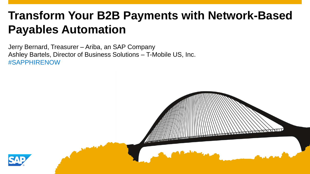# **Transform Your B2B Payments with Network-Based Payables Automation**

Jerry Bernard, Treasurer – Ariba, an SAP Company Ashley Bartels, Director of Business Solutions – T-Mobile US, Inc. #SAPPHIRENOW

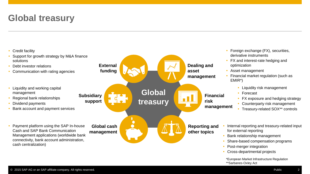#### **Global treasury**

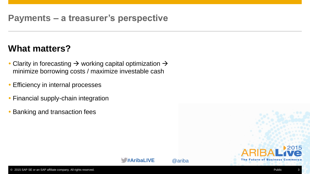#### **Payments – a treasurer's perspective**

#### **What matters?**

- Clarity in forecasting  $\rightarrow$  working capital optimization  $\rightarrow$ minimize borrowing costs / maximize investable cash
- **Efficiency in internal processes**
- Financial supply-chain integration
- Banking and transaction fees

**The Future of Business** 

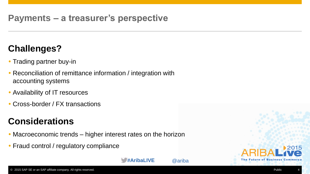#### **Payments – a treasurer's perspective**

#### **Challenges?**

- Trading partner buy-in
- Reconciliation of remittance information / integration with accounting systems
- Availability of IT resources
- Cross-border / FX transactions

#### **Considerations**

- Macroeconomic trends higher interest rates on the horizon
- Fraud control / regulatory compliance



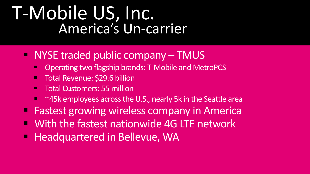# T-Mobile US, Inc. America's Un-carrier

- NYSE traded public company TMUS
	- **COPERIGE 15 Assets Uperating two flagship brands: T-Mobile and MetroPCS**
	- **Total Revenue: \$29.6 billion**
	- **Total Customers: 55 million**
	- ~45k employees across the U.S., nearly 5k in the Seattle area
- **Fastest growing wireless company in America**
- With the fastest nationwide 4G LTE network
- **Headquartered in Bellevue, WA**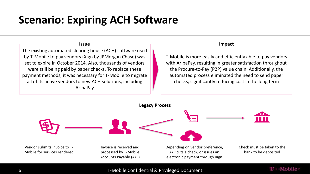# **Scenario: Expiring ACH Software**

**Issue**

The existing automated clearing house (ACH) software used by T-Mobile to pay vendors (Xign by JPMorgan Chase) was set to expire in October 2014. Also, thousands of vendors were still being paid by paper checks. To replace these payment methods, it was necessary for T-Mobile to migrate all of its active vendors to new ACH solutions, including AribaPay

#### **Impact**

T-Mobile is more easily and efficiently able to pay vendors with AribaPay, resulting in greater satisfaction throughout the Procure-to-Pay (P2P) value chain. Additionally, the automated process eliminated the need to send paper checks, significantly reducing cost in the long term

 $T \cdot$ -Mobile-



6 T-Mobile Confidential & Privileged Document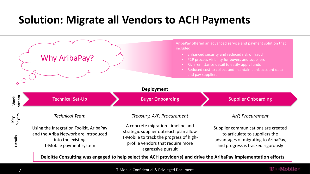# **Solution: Migrate all Vendors to ACH Payments**

|                | Why AribaPay?                                                                                                                   | included:                                                                                                                                                                         | AribaPay offered an advanced service and payment solution that<br>Enhanced security and reduced risk of fraud<br>P2P process visibility for buyers and suppliers<br>Rich remittance detail to easily apply funds<br>Reduced cost to collect and maintain bank account data<br>and pay suppliers |
|----------------|---------------------------------------------------------------------------------------------------------------------------------|-----------------------------------------------------------------------------------------------------------------------------------------------------------------------------------|-------------------------------------------------------------------------------------------------------------------------------------------------------------------------------------------------------------------------------------------------------------------------------------------------|
|                |                                                                                                                                 | <b>Deployment</b>                                                                                                                                                                 |                                                                                                                                                                                                                                                                                                 |
| Work<br>stream | <b>Technical Set-Up</b>                                                                                                         | <b>Buyer Onboarding</b>                                                                                                                                                           | <b>Supplier Onboarding</b>                                                                                                                                                                                                                                                                      |
| Key<br>Players | <b>Technical Team</b>                                                                                                           | Treasury, A/P, Procurement                                                                                                                                                        | A/P, Procurement                                                                                                                                                                                                                                                                                |
| <b>Details</b> | Using the Integration Toolkit, AribaPay<br>and the Ariba Network are introduced<br>into the existing<br>T-Mobile payment system | A concrete migration timeline and<br>strategic supplier outreach plan allow<br>T-Mobile to track the progress of high-<br>profile vendors that require more<br>aggressive pursuit | Supplier communications are created<br>to articulate to suppliers the<br>advantages of migrating to AribaPay,<br>and progress is tracked rigorously                                                                                                                                             |

**Deloitte Consulting was engaged to help select the ACH provider(s) and drive the AribaPay implementation efforts**